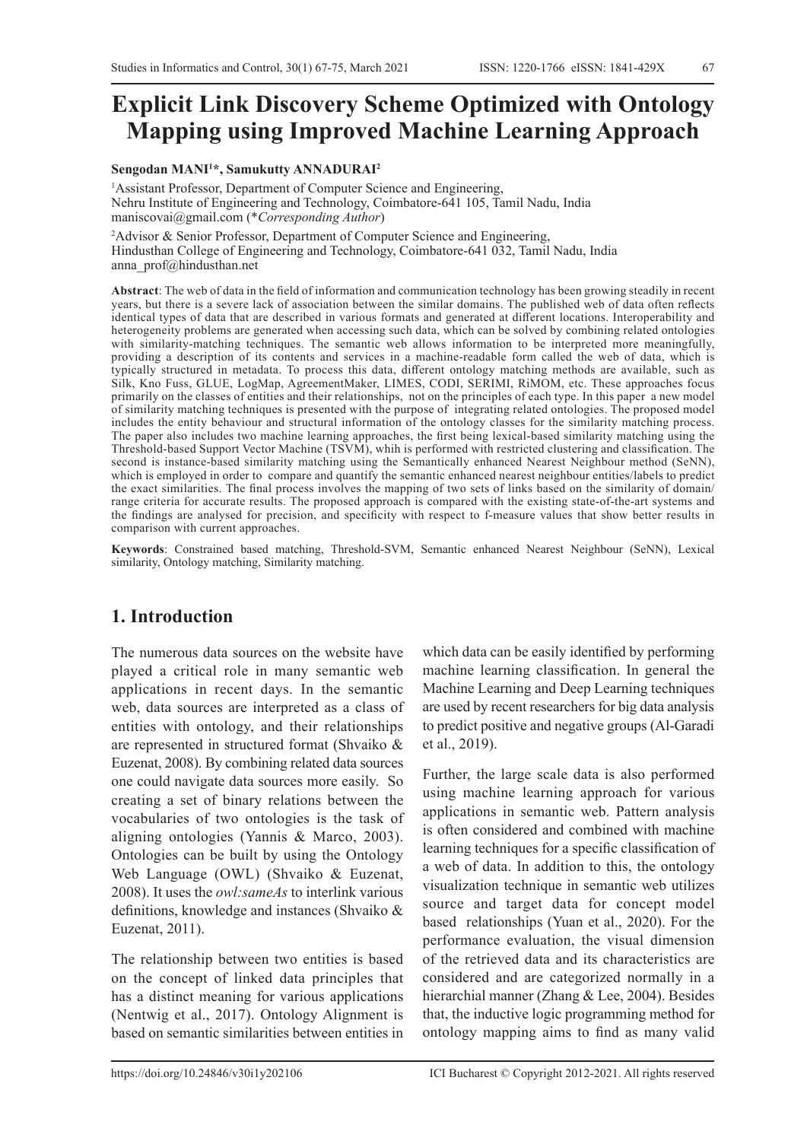# **Explicit Link Discovery Scheme Optimized with Ontology Mapping using Improved Machine Learning Approach**

#### **Sengodan MANI1 \*, Samukutty ANNADURAI2**

<sup>1</sup> Assistant Professor, Department of Computer Science and Engineering, Nehru Institute of Engineering and Technology, Coimbatore-641 105, Tamil Nadu, India maniscovai@gmail.com (\**Corresponding Author*)

<sup>2</sup>Advisor & Senior Professor, Department of Computer Science and Engineering, Hindusthan College of Engineering and Technology, Coimbatore-641 032, Tamil Nadu, India anna prof@hindusthan.net

**Abstract**: The web of data in the field of information and communication technology has been growing steadily in recent years, but there is a severe lack of association between the similar domains. The published web of data often reflects identical types of data that are described in various formats and generated at different locations. Interoperability and heterogeneity problems are generated when accessing such data, which can be solved by combining related ontologies with similarity-matching techniques. The semantic web allows information to be interpreted more meaningfully, providing a description of its contents and services in a machine-readable form called the web of data, which is typically structured in metadata. To process this data, different ontology matching methods are available, such as Silk, Kno Fuss, GLUE, LogMap, AgreementMaker, LIMES, CODI, SERIMI, RiMOM, etc. These approaches focus primarily on the classes of entities and their relationships, not on the principles of each type. In this paper a new model of similarity matching techniques is presented with the purpose of integrating related ontologies. The proposed model includes the entity behaviour and structural information of the ontology classes for the similarity matching process. The paper also includes two machine learning approaches, the first being lexical-based similarity matching using the Threshold-based Support Vector Machine (TSVM), whih is performed with restricted clustering and classification. The second is instance-based similarity matching using the Semantically enhanced Nearest Neighbour method (SeNN), which is employed in order to compare and quantify the semantic enhanced nearest neighbour entities/labels to predict the exact similarities. The final process involves the mapping of two sets of links based on the similarity of domain/ range criteria for accurate results. The proposed approach is compared with the existing state-of-the-art systems and the findings are analysed for precision, and specificity with respect to f-measure values that show better results in comparison with current approaches.

**Keywords**: Constrained based matching, Threshold-SVM, Semantic enhanced Nearest Neighbour (SeNN), Lexical similarity, Ontology matching, Similarity matching.

# **1. Introduction**

The numerous data sources on the website have played a critical role in many semantic web applications in recent days. In the semantic web, data sources are interpreted as a class of entities with ontology, and their relationships are represented in structured format (Shvaiko & Euzenat, 2008). By combining related data sources one could navigate data sources more easily. So creating a set of binary relations between the vocabularies of two ontologies is the task of aligning ontologies (Yannis & Marco, 2003). Ontologies can be built by using the Ontology Web Language (OWL) (Shvaiko & Euzenat, 2008). It uses the *owl:sameAs* to interlink various definitions, knowledge and instances (Shvaiko & Euzenat, 2011).

The relationship between two entities is based on the concept of linked data principles that has a distinct meaning for various applications (Nentwig et al., 2017). Ontology Alignment is based on semantic similarities between entities in

which data can be easily identified by performing machine learning classification. In general the Machine Learning and Deep Learning techniques are used by recent researchers for big data analysis to predict positive and negative groups (Al-Garadi et al., 2019).

ISSN: 1220-1766 eISSN: 1841-429X

Further, the large scale data is also performed using machine learning approach for various applications in semantic web. Pattern analysis is often considered and combined with machine learning techniques for a specific classification of a web of data. In addition to this, the ontology visualization technique in semantic web utilizes source and target data for concept model based relationships (Yuan et al., 2020). For the performance evaluation, the visual dimension of the retrieved data and its characteristics are considered and are categorized normally in a hierarchial manner (Zhang & Lee, 2004). Besides that, the inductive logic programming method for ontology mapping aims to find as many valid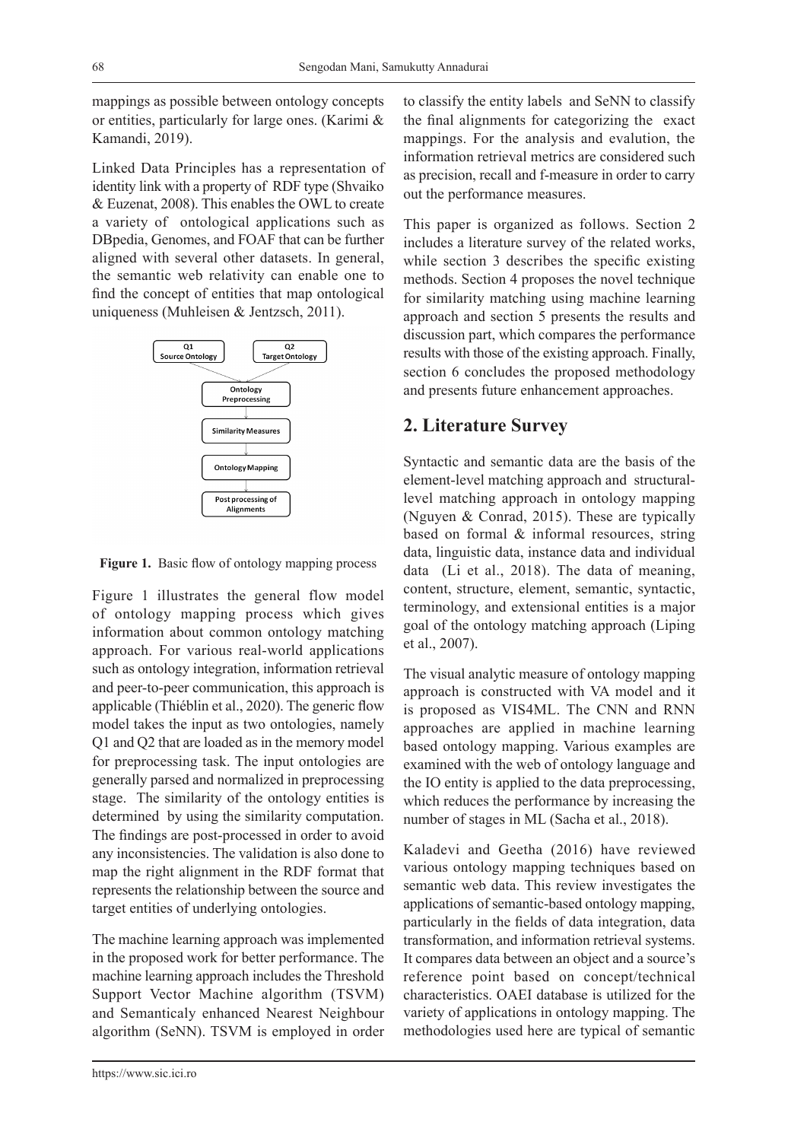mappings as possible between ontology concepts or entities, particularly for large ones. (Karimi & Kamandi, 2019).

Linked Data Principles has a representation of identity link with a property of RDF type (Shvaiko & Euzenat, 2008). This enables the OWL to create a variety of ontological applications such as DBpedia, Genomes, and FOAF that can be further aligned with several other datasets. In general, the semantic web relativity can enable one to find the concept of entities that map ontological uniqueness (Muhleisen & Jentzsch, 2011).



Figure 1. Basic flow of ontology mapping process

Figure 1 illustrates the general flow model of ontology mapping process which gives information about common ontology matching approach. For various real-world applications such as ontology integration, information retrieval and peer-to-peer communication, this approach is applicable (Thiéblin et al., 2020). The generic flow model takes the input as two ontologies, namely Q1 and Q2 that are loaded as in the memory model for preprocessing task. The input ontologies are generally parsed and normalized in preprocessing stage. The similarity of the ontology entities is determined by using the similarity computation. The findings are post-processed in order to avoid any inconsistencies. The validation is also done to map the right alignment in the RDF format that represents the relationship between the source and target entities of underlying ontologies.

The machine learning approach was implemented in the proposed work for better performance. The machine learning approach includes the Threshold Support Vector Machine algorithm (TSVM) and Semanticaly enhanced Nearest Neighbour algorithm (SeNN). TSVM is employed in order to classify the entity labels and SeNN to classify the final alignments for categorizing the exact mappings. For the analysis and evalution, the information retrieval metrics are considered such as precision, recall and f-measure in order to carry out the performance measures.

This paper is organized as follows. Section 2 includes a literature survey of the related works, while section 3 describes the specific existing methods. Section 4 proposes the novel technique for similarity matching using machine learning approach and section 5 presents the results and discussion part, which compares the performance results with those of the existing approach. Finally, section 6 concludes the proposed methodology and presents future enhancement approaches.

# **2. Literature Survey**

Syntactic and semantic data are the basis of the element-level matching approach and structurallevel matching approach in ontology mapping (Nguyen & Conrad, 2015). These are typically based on formal & informal resources, string data, linguistic data, instance data and individual data (Li et al., 2018). The data of meaning, content, structure, element, semantic, syntactic, terminology, and extensional entities is a major goal of the ontology matching approach (Liping et al., 2007).

The visual analytic measure of ontology mapping approach is constructed with VA model and it is proposed as VIS4ML. The CNN and RNN approaches are applied in machine learning based ontology mapping. Various examples are examined with the web of ontology language and the IO entity is applied to the data preprocessing, which reduces the performance by increasing the number of stages in ML (Sacha et al., 2018).

Kaladevi and Geetha (2016) have reviewed various ontology mapping techniques based on semantic web data. This review investigates the applications of semantic-based ontology mapping, particularly in the fields of data integration, data transformation, and information retrieval systems. It compares data between an object and a source's reference point based on concept/technical characteristics. OAEI database is utilized for the variety of applications in ontology mapping. The methodologies used here are typical of semantic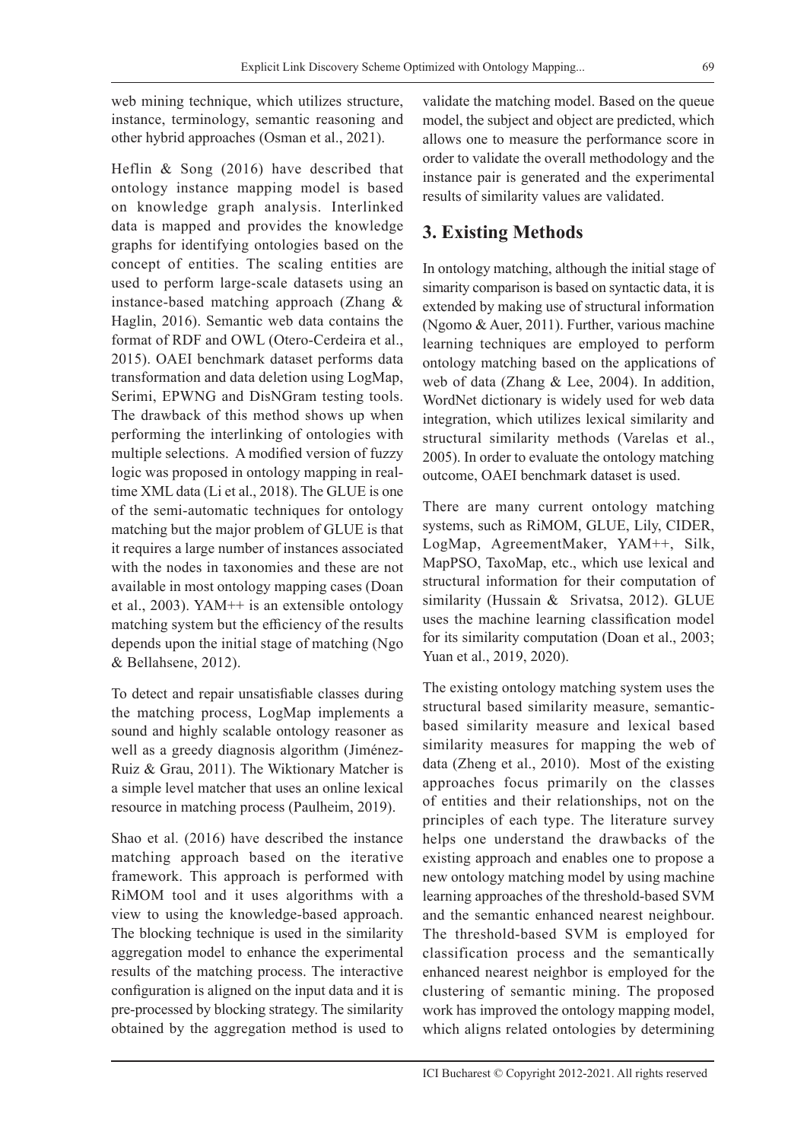web mining technique, which utilizes structure,

instance, terminology, semantic reasoning and other hybrid approaches (Osman et al., 2021).

Heflin & Song (2016) have described that ontology instance mapping model is based on knowledge graph analysis. Interlinked data is mapped and provides the knowledge graphs for identifying ontologies based on the concept of entities. The scaling entities are used to perform large-scale datasets using an instance-based matching approach (Zhang & Haglin, 2016). Semantic web data contains the format of RDF and OWL (Otero-Cerdeira et al., 2015). OAEI benchmark dataset performs data transformation and data deletion using LogMap, Serimi, EPWNG and DisNGram testing tools. The drawback of this method shows up when performing the interlinking of ontologies with multiple selections. A modified version of fuzzy logic was proposed in ontology mapping in realtime XML data (Li et al., 2018). The GLUE is one of the semi-automatic techniques for ontology matching but the major problem of GLUE is that it requires a large number of instances associated with the nodes in taxonomies and these are not available in most ontology mapping cases (Doan et al., 2003). YAM++ is an extensible ontology matching system but the efficiency of the results depends upon the initial stage of matching (Ngo & Bellahsene, 2012).

To detect and repair unsatisfiable classes during the matching process, LogMap implements a sound and highly scalable ontology reasoner as well as a greedy diagnosis algorithm (Jiménez-Ruiz & Grau, 2011). The Wiktionary Matcher is a simple level matcher that uses an online lexical resource in matching process (Paulheim, 2019).

Shao et al. (2016) have described the instance matching approach based on the iterative framework. This approach is performed with RiMOM tool and it uses algorithms with a view to using the knowledge-based approach. The blocking technique is used in the similarity aggregation model to enhance the experimental results of the matching process. The interactive configuration is aligned on the input data and it is pre-processed by blocking strategy. The similarity obtained by the aggregation method is used to

validate the matching model. Based on the queue model, the subject and object are predicted, which allows one to measure the performance score in order to validate the overall methodology and the instance pair is generated and the experimental results of similarity values are validated.

# **3. Existing Methods**

In ontology matching, although the initial stage of simarity comparison is based on syntactic data, it is extended by making use of structural information (Ngomo & Auer, 2011). Further, various machine learning techniques are employed to perform ontology matching based on the applications of web of data (Zhang & Lee, 2004). In addition, WordNet dictionary is widely used for web data integration, which utilizes lexical similarity and structural similarity methods (Varelas et al., 2005). In order to evaluate the ontology matching outcome, OAEI benchmark dataset is used.

There are many current ontology matching systems, such as RiMOM, GLUE, Lily, CIDER, LogMap, AgreementMaker, YAM++, Silk, MapPSO, TaxoMap, etc., which use lexical and structural information for their computation of similarity (Hussain & Srivatsa, 2012). GLUE uses the machine learning classification model for its similarity computation (Doan et al., 2003; Yuan et al., 2019, 2020).

The existing ontology matching system uses the structural based similarity measure, semanticbased similarity measure and lexical based similarity measures for mapping the web of data (Zheng et al., 2010). Most of the existing approaches focus primarily on the classes of entities and their relationships, not on the principles of each type. The literature survey helps one understand the drawbacks of the existing approach and enables one to propose a new ontology matching model by using machine learning approaches of the threshold-based SVM and the semantic enhanced nearest neighbour. The threshold-based SVM is employed for classification process and the semantically enhanced nearest neighbor is employed for the clustering of semantic mining. The proposed work has improved the ontology mapping model, which aligns related ontologies by determining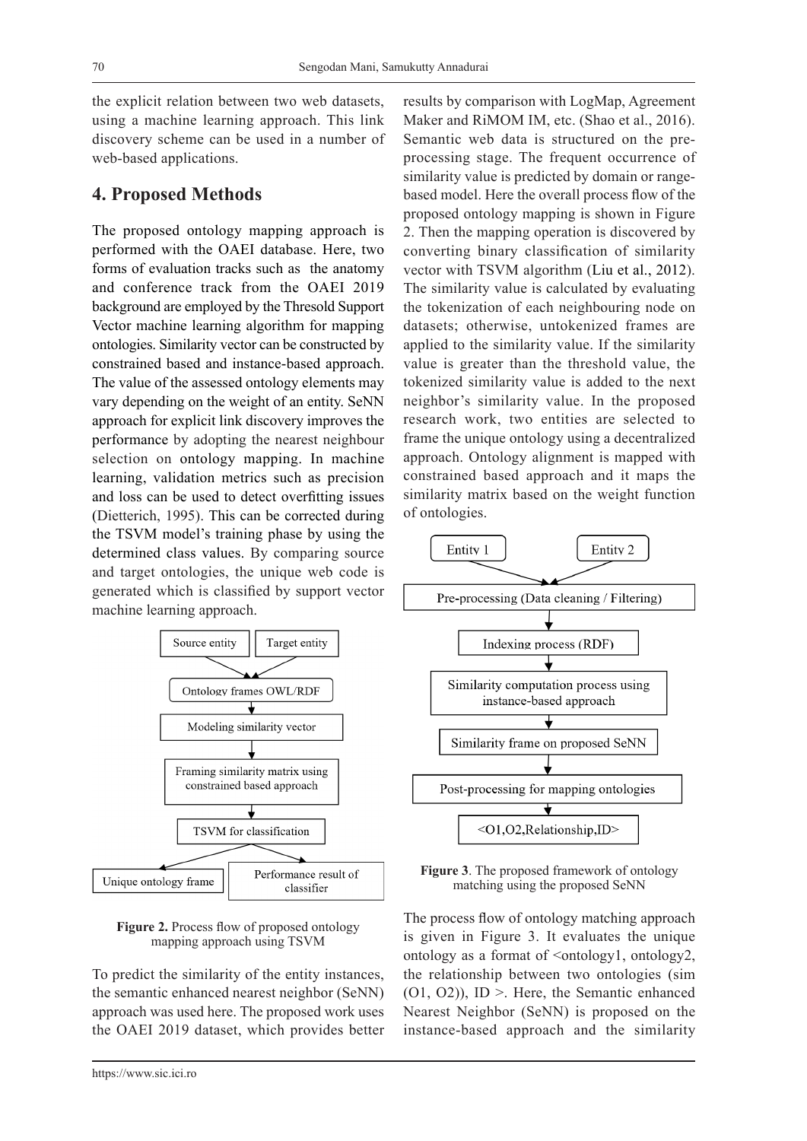the explicit relation between two web datasets, using a machine learning approach. This link discovery scheme can be used in a number of web-based applications.

### **4. Proposed Methods**

The proposed ontology mapping approach is performed with the OAEI database. Here, two forms of evaluation tracks such as the anatomy and conference track from the OAEI 2019 background are employed by the Thresold Support Vector machine learning algorithm for mapping ontologies. Similarity vector can be constructed by constrained based and instance-based approach. The value of the assessed ontology elements may vary depending on the weight of an entity. SeNN approach for explicit link discovery improves the performance by adopting the nearest neighbour selection on ontology mapping. In machine learning, validation metrics such as precision and loss can be used to detect overfitting issues (Dietterich, 1995). This can be corrected during the TSVM model's training phase by using the determined class values. By comparing source and target ontologies, the unique web code is generated which is classified by support vector machine learning approach.



**Figure 2.** Process flow of proposed ontology mapping approach using TSVM

To predict the similarity of the entity instances, the semantic enhanced nearest neighbor (SeNN) approach was used here. The proposed work uses the OAEI 2019 dataset, which provides better results by comparison with LogMap, Agreement Maker and RiMOM IM, etc. (Shao et al., 2016). Semantic web data is structured on the preprocessing stage. The frequent occurrence of similarity value is predicted by domain or rangebased model. Here the overall process flow of the proposed ontology mapping is shown in Figure 2. Then the mapping operation is discovered by converting binary classification of similarity vector with TSVM algorithm (Liu et al., 2012). The similarity value is calculated by evaluating the tokenization of each neighbouring node on datasets; otherwise, untokenized frames are applied to the similarity value. If the similarity value is greater than the threshold value, the tokenized similarity value is added to the next neighbor's similarity value. In the proposed research work, two entities are selected to frame the unique ontology using a decentralized approach. Ontology alignment is mapped with constrained based approach and it maps the similarity matrix based on the weight function



**Figure 3**. The proposed framework of ontology matching using the proposed SeNN

The process flow of ontology matching approach is given in Figure 3. It evaluates the unique ontology as a format of <ontology1, ontology2, the relationship between two ontologies (sim (O1, O2)), ID >. Here, the Semantic enhanced Nearest Neighbor (SeNN) is proposed on the instance-based approach and the similarity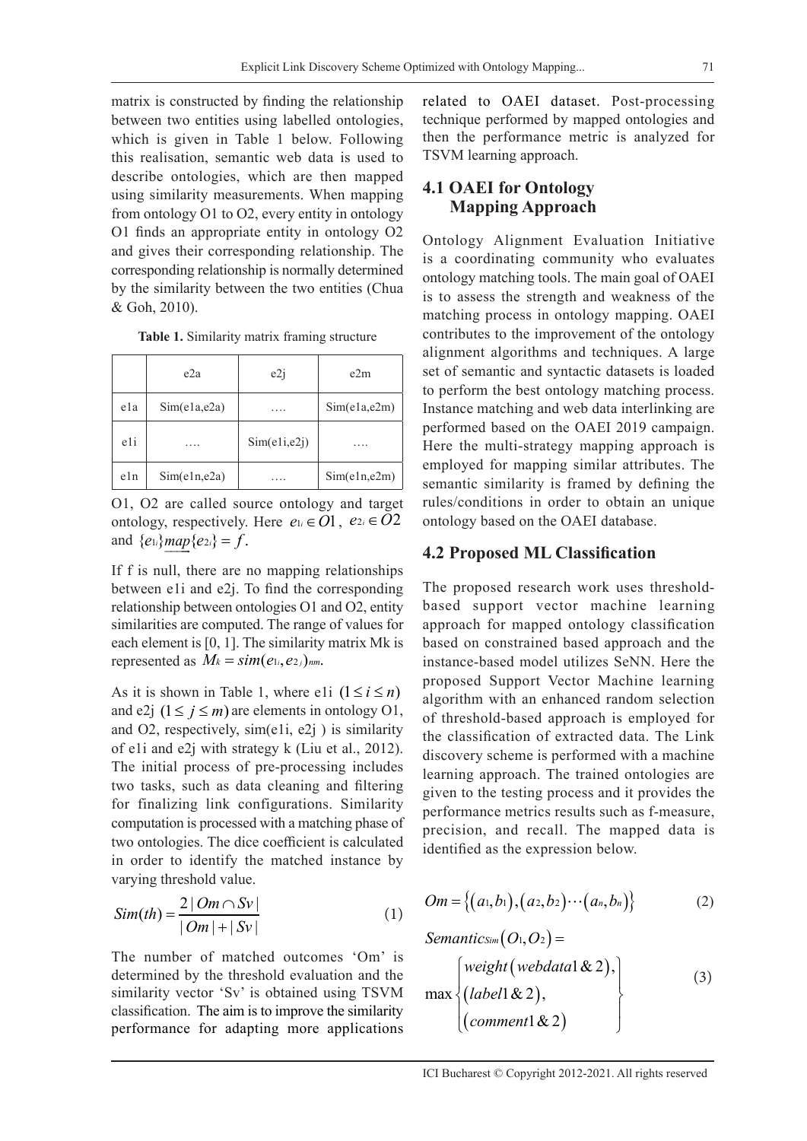matrix is constructed by finding the relationship between two entities using labelled ontologies, which is given in Table 1 below. Following this realisation, semantic web data is used to describe ontologies, which are then mapped using similarity measurements. When mapping from ontology O1 to O2, every entity in ontology O1 finds an appropriate entity in ontology O2 and gives their corresponding relationship. The corresponding relationship is normally determined by the similarity between the two entities (Chua & Goh, 2010).

|     | e2a          | e2i           | e2m          |
|-----|--------------|---------------|--------------|
| ela | Sim(e1a,e2a) | .             | Sim(e1a,e2m) |
| e1i | .            | Sim(e1i, e2j) | .            |
| e1n | Sim(e1n,e2a) |               | Sim(e1n,e2m) |

**Table 1.** Similarity matrix framing structure

O1, O2 are called source ontology and target ontology, respectively. Here  $e_i \in O1$ ,  $e_{2i} \in O2$ and  ${e_{1i}}$ *map*  ${e_{2i}} = f$ .

If f is null, there are no mapping relationships between e1i and e2j. To find the corresponding relationship between ontologies O1 and O2, entity similarities are computed. The range of values for each element is [0, 1]. The similarity matrix Mk is represented as  $M_k = \text{sim}(e_{1i}, e_{2j})_{nm}$ .

As it is shown in Table 1, where e1i  $(1 \le i \le n)$ and e2j  $(1 \le j \le m)$  are elements in ontology O1, and O2, respectively, sim(e1i, e2j ) is similarity of e1i and e2j with strategy k (Liu et al., 2012). The initial process of pre-processing includes two tasks, such as data cleaning and filtering for finalizing link configurations. Similarity computation is processed with a matching phase of two ontologies. The dice coefficient is calculated in order to identify the matched instance by varying threshold value.

$$
Sim(th) = \frac{2|Om \cap Sv|}{|Om| + |Sv|}
$$
 (1)

The number of matched outcomes 'Om' is determined by the threshold evaluation and the similarity vector 'Sv' is obtained using TSVM classification. The aim is to improve the similarity performance for adapting more applications

related to OAEI dataset. Post-processing technique performed by mapped ontologies and then the performance metric is analyzed for TSVM learning approach.

# **4.1 OAEI for Ontology Mapping Approach**

Ontology Alignment Evaluation Initiative is a coordinating community who evaluates ontology matching tools. The main goal of OAEI is to assess the strength and weakness of the matching process in ontology mapping. OAEI contributes to the improvement of the ontology alignment algorithms and techniques. A large set of semantic and syntactic datasets is loaded to perform the best ontology matching process. Instance matching and web data interlinking are performed based on the OAEI 2019 campaign. Here the multi-strategy mapping approach is employed for mapping similar attributes. The semantic similarity is framed by defining the rules/conditions in order to obtain an unique ontology based on the OAEI database.

#### **4.2 Proposed ML Classification**

The proposed research work uses thresholdbased support vector machine learning approach for mapped ontology classification based on constrained based approach and the instance-based model utilizes SeNN. Here the proposed Support Vector Machine learning algorithm with an enhanced random selection of threshold-based approach is employed for the classification of extracted data. The Link discovery scheme is performed with a machine learning approach. The trained ontologies are given to the testing process and it provides the performance metrics results such as f-measure, precision, and recall. The mapped data is identified as the expression below.

$$
Om = \{(a_1, b_1), (a_2, b_2) \cdots (a_n, b_n)\}\tag{2}
$$

*Semantics<sub>im</sub>*
$$
(O_1, O_2) =
$$
  
\n
$$
\max \left\{ \begin{aligned} weight (webdata1 \& 2), \\ (label1 \& 2), \\ (comment1 \& 2) \end{aligned} \right\}
$$
\n(3)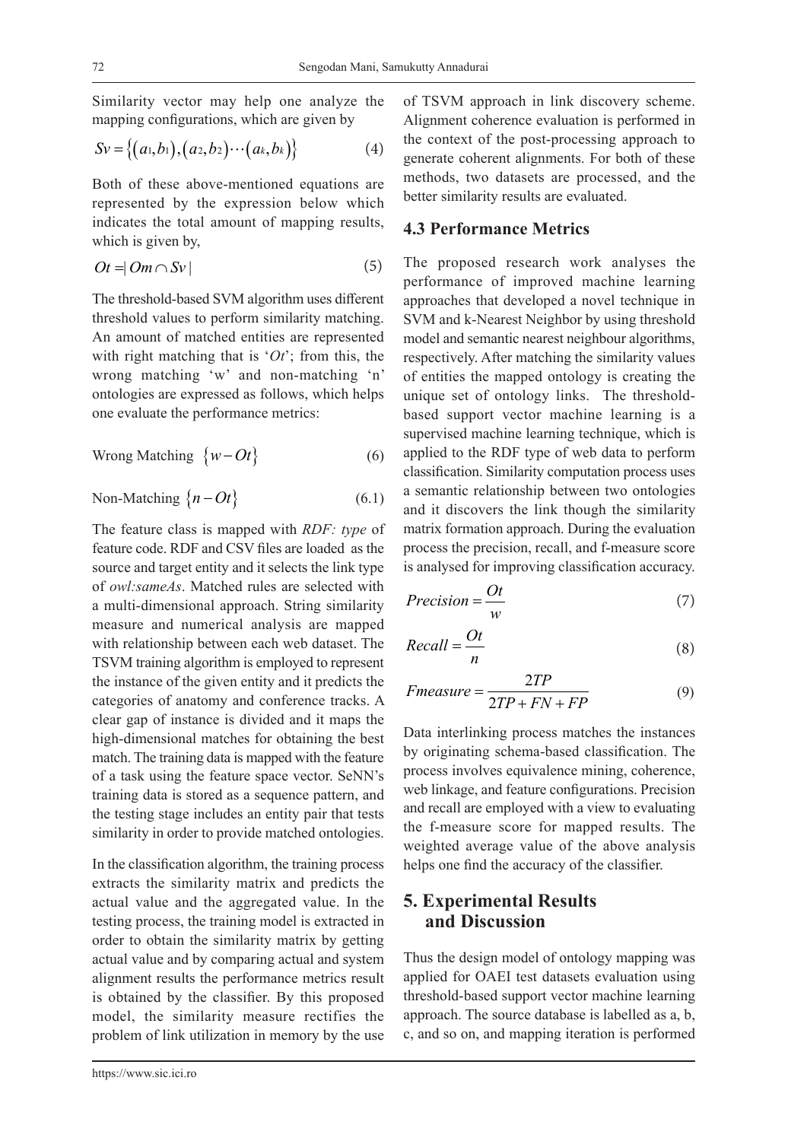Similarity vector may help one analyze the mapping configurations, which are given by

$$
Sv = \{(a_1, b_1), (a_2, b_2) \cdots (a_k, b_k)\}\tag{4}
$$

Both of these above-mentioned equations are represented by the expression below which indicates the total amount of mapping results, which is given by,

$$
Ot = |Om \cap Sv|
$$
 (5)

The threshold-based SVM algorithm uses different threshold values to perform similarity matching. An amount of matched entities are represented with right matching that is '*Ot*'; from this, the wrong matching 'w' and non-matching 'n' ontologies are expressed as follows, which helps one evaluate the performance metrics:

$$
Wrong Matching \{w - Ot\} \tag{6}
$$

$$
Non-Matching \{n - Ot\} \tag{6.1}
$$

The feature class is mapped with *RDF: type* of feature code. RDF and CSV files are loaded as the source and target entity and it selects the link type of *owl:sameAs*. Matched rules are selected with a multi-dimensional approach. String similarity measure and numerical analysis are mapped with relationship between each web dataset. The TSVM training algorithm is employed to represent the instance of the given entity and it predicts the categories of anatomy and conference tracks. A clear gap of instance is divided and it maps the high-dimensional matches for obtaining the best match. The training data is mapped with the feature of a task using the feature space vector. SeNN's training data is stored as a sequence pattern, and the testing stage includes an entity pair that tests similarity in order to provide matched ontologies.

In the classification algorithm, the training process extracts the similarity matrix and predicts the actual value and the aggregated value. In the testing process, the training model is extracted in order to obtain the similarity matrix by getting actual value and by comparing actual and system alignment results the performance metrics result is obtained by the classifier. By this proposed model, the similarity measure rectifies the problem of link utilization in memory by the use

of TSVM approach in link discovery scheme. Alignment coherence evaluation is performed in the context of the post-processing approach to generate coherent alignments. For both of these methods, two datasets are processed, and the better similarity results are evaluated.

# **4.3 Performance Metrics**

The proposed research work analyses the performance of improved machine learning approaches that developed a novel technique in SVM and k-Nearest Neighbor by using threshold model and semantic nearest neighbour algorithms, respectively. After matching the similarity values of entities the mapped ontology is creating the unique set of ontology links. The thresholdbased support vector machine learning is a supervised machine learning technique, which is applied to the RDF type of web data to perform classification. Similarity computation process uses a semantic relationship between two ontologies and it discovers the link though the similarity matrix formation approach. During the evaluation process the precision, recall, and f-measure score is analysed for improving classification accuracy.

$$
Precision = \frac{Ot}{w} \tag{7}
$$

$$
Recall = \frac{Ot}{n}
$$
\n(8)

$$
Fmeasure = \frac{2TP}{2TP + FN + FP}
$$
 (9)

Data interlinking process matches the instances by originating schema-based classification. The process involves equivalence mining, coherence, web linkage, and feature configurations. Precision and recall are employed with a view to evaluating the f-measure score for mapped results. The weighted average value of the above analysis helps one find the accuracy of the classifier.

# **5. Experimental Results and Discussion**

Thus the design model of ontology mapping was applied for OAEI test datasets evaluation using threshold-based support vector machine learning approach. The source database is labelled as a, b, c, and so on, and mapping iteration is performed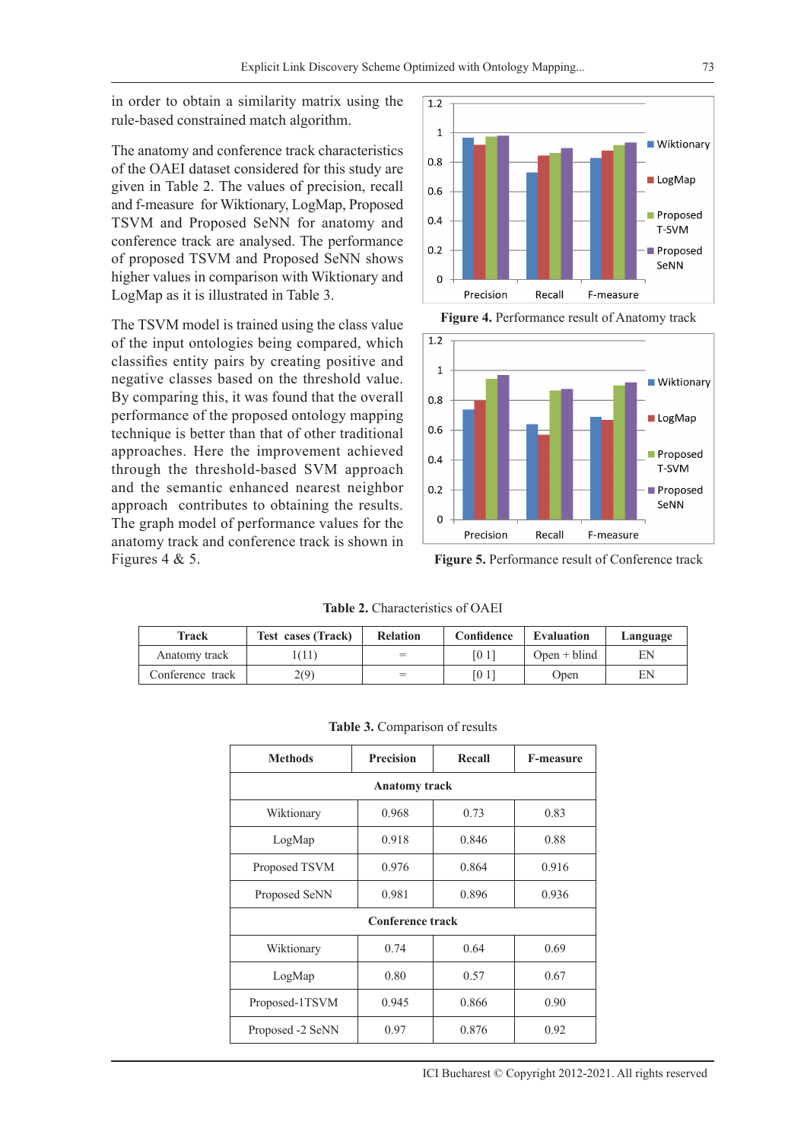in order to obtain a similarity matrix using the rule-based constrained match algorithm.

The anatomy and conference track characteristics of the OAEI dataset considered for this study are given in Table 2. The values of precision, recall and f-measure for Wiktionary, LogMap, Proposed TSVM and Proposed SeNN for anatomy and conference track are analysed. The performance of proposed TSVM and Proposed SeNN shows higher values in comparison with Wiktionary and LogMap as it is illustrated in Table 3.

The TSVM model is trained using the class value of the input ontologies being compared, which classifies entity pairs by creating positive and negative classes based on the threshold value. By comparing this, it was found that the overall performance of the proposed ontology mapping technique is better than that of other traditional approaches. Here the improvement achieved through the threshold-based SVM approach and the semantic enhanced nearest neighbor approach contributes to obtaining the results. The graph model of performance values for the anatomy track and conference track is shown in Figures 4 & 5.



**Figure 4.** Performance result of Anatomy track



**Figure 5.** Performance result of Conference track

**Table 2.** Characteristics of OAEI

| Track            | <b>Test cases (Track)</b> | <b>Relation</b> | Confidence | Evaluation     | Language |
|------------------|---------------------------|-----------------|------------|----------------|----------|
| Anatomy track    | (11)                      | $=$             | [01]       | $Open + blind$ | EΝ       |
| Conference track | 2(9)                      | $=$             | TO 1       | Open           | EΝ       |

| <b>Methods</b>          | <b>Precision</b> | Recall | <b>F-measure</b> |  |  |  |  |  |
|-------------------------|------------------|--------|------------------|--|--|--|--|--|
| <b>Anatomy track</b>    |                  |        |                  |  |  |  |  |  |
| Wiktionary              | 0.968            | 0.73   | 0.83             |  |  |  |  |  |
| LogMap                  | 0.918            | 0.846  | 0.88             |  |  |  |  |  |
| Proposed TSVM           | 0.976            | 0.864  | 0.916            |  |  |  |  |  |
| Proposed SeNN           | 0.981            | 0.896  | 0.936            |  |  |  |  |  |
| <b>Conference track</b> |                  |        |                  |  |  |  |  |  |
| Wiktionary              | 0.74             | 0.64   | 0.69             |  |  |  |  |  |
| LogMap                  | 0.80             | 0.57   | 0.67             |  |  |  |  |  |
| Proposed-1TSVM          | 0.945            | 0.866  | 0.90             |  |  |  |  |  |
| Proposed -2 SeNN        | 0.97             | 0.876  | 0.92             |  |  |  |  |  |

#### **Table 3.** Comparison of results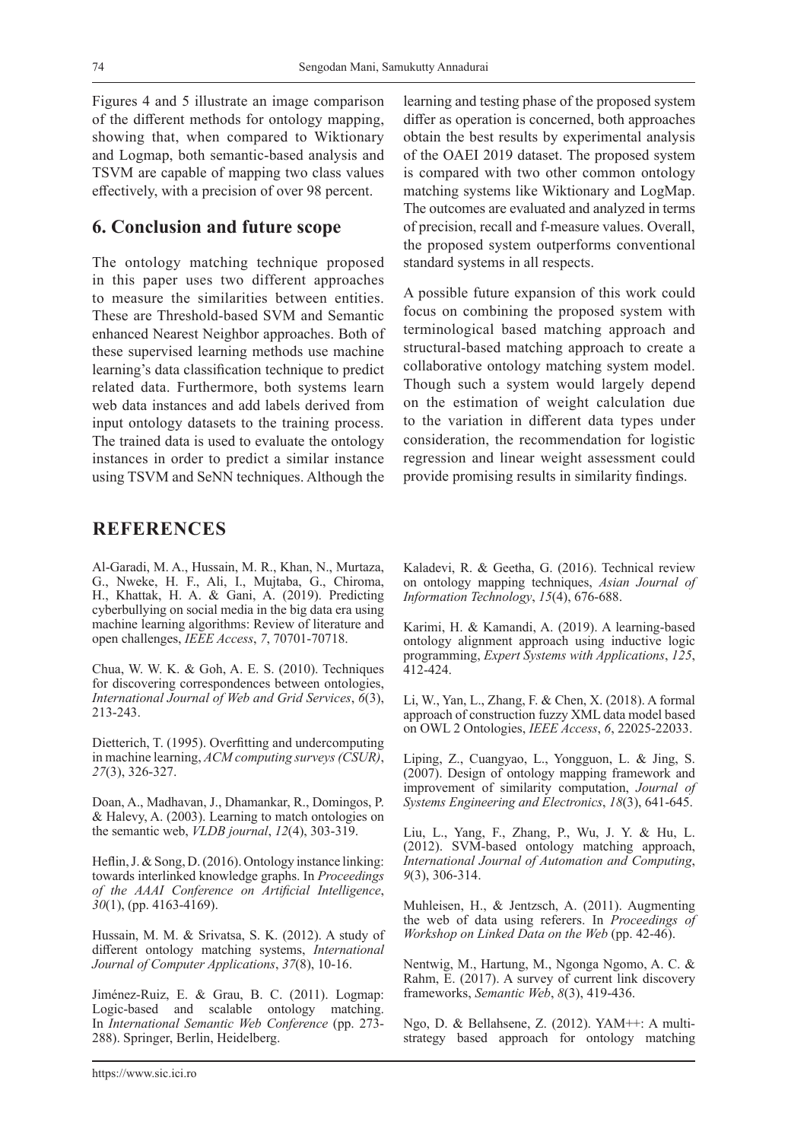Figures 4 and 5 illustrate an image comparison of the different methods for ontology mapping, showing that, when compared to Wiktionary and Logmap, both semantic-based analysis and TSVM are capable of mapping two class values effectively, with a precision of over 98 percent.

### **6. Conclusion and future scope**

The ontology matching technique proposed in this paper uses two different approaches to measure the similarities between entities. These are Threshold-based SVM and Semantic enhanced Nearest Neighbor approaches. Both of these supervised learning methods use machine learning's data classification technique to predict related data. Furthermore, both systems learn web data instances and add labels derived from input ontology datasets to the training process. The trained data is used to evaluate the ontology instances in order to predict a similar instance using TSVM and SeNN techniques. Although the

# **REFERENCES**

Al-Garadi, M. A., Hussain, M. R., Khan, N., Murtaza, G., Nweke, H. F., Ali, I., Mujtaba, G., Chiroma, H., Khattak, H. A. & Gani, A. (2019). Predicting cyberbullying on social media in the big data era using machine learning algorithms: Review of literature and open challenges, *IEEE Access*, *7*, 70701-70718.

Chua, W. W. K. & Goh, A. E. S. (2010). Techniques for discovering correspondences between ontologies, *International Journal of Web and Grid Services*, *6*(3), 213-243.

Dietterich, T. (1995). Overfitting and undercomputing in machine learning, *ACM computing surveys (CSUR)*, *27*(3), 326-327.

Doan, A., Madhavan, J., Dhamankar, R., Domingos, P. & Halevy, A. (2003). Learning to match ontologies on the semantic web, *VLDB journal*, *12*(4), 303-319.

Heflin, J. & Song, D. (2016). Ontology instance linking: towards interlinked knowledge graphs. In *Proceedings of the AAAI Conference on Artificial Intelligence*, *30*(1), (pp. 4163-4169).

Hussain, M. M. & Srivatsa, S. K. (2012). A study of different ontology matching systems, *International Journal of Computer Applications*, *37*(8), 10-16.

Jiménez-Ruiz, E. & Grau, B. C. (2011). Logmap: Logic-based and scalable ontology matching. In *International Semantic Web Conference* (pp. 273- 288). Springer, Berlin, Heidelberg.

learning and testing phase of the proposed system differ as operation is concerned, both approaches obtain the best results by experimental analysis of the OAEI 2019 dataset. The proposed system is compared with two other common ontology matching systems like Wiktionary and LogMap. The outcomes are evaluated and analyzed in terms of precision, recall and f-measure values. Overall, the proposed system outperforms conventional standard systems in all respects.

A possible future expansion of this work could focus on combining the proposed system with terminological based matching approach and structural-based matching approach to create a collaborative ontology matching system model. Though such a system would largely depend on the estimation of weight calculation due to the variation in different data types under consideration, the recommendation for logistic regression and linear weight assessment could provide promising results in similarity findings.

Kaladevi, R. & Geetha, G. (2016). Technical review on ontology mapping techniques, *Asian Journal of Information Technology*, *15*(4), 676-688.

Karimi, H. & Kamandi, A. (2019). A learning-based ontology alignment approach using inductive logic programming, *Expert Systems with Applications*, *125*, 412-424.

Li, W., Yan, L., Zhang, F. & Chen, X. (2018). A formal approach of construction fuzzy XML data model based on OWL 2 Ontologies, *IEEE Access*, *6*, 22025-22033.

Liping, Z., Cuangyao, L., Yongguon, L. & Jing, S. (2007). Design of ontology mapping framework and improvement of similarity computation, *Journal of Systems Engineering and Electronics*, *18*(3), 641-645.

Liu, L., Yang, F., Zhang, P., Wu, J. Y. & Hu, L. (2012). SVM-based ontology matching approach, *International Journal of Automation and Computing*, *9*(3), 306-314.

Muhleisen, H., & Jentzsch, A. (2011). Augmenting the web of data using referers. In *Proceedings of Workshop on Linked Data on the Web* (pp. 42-46).

Nentwig, M., Hartung, M., Ngonga Ngomo, A. C. & Rahm, E. (2017). A survey of current link discovery frameworks, *Semantic Web*, *8*(3), 419-436.

Ngo, D. & Bellahsene, Z. (2012). YAM++: A multistrategy based approach for ontology matching